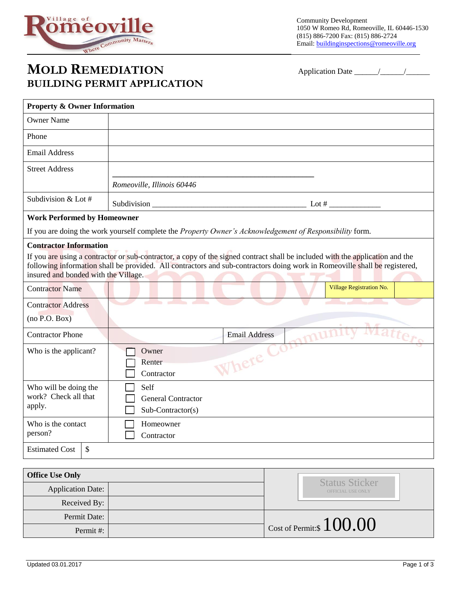

## **MOLD REMEDIATION** Application Date \_\_\_\_\_\_/\_\_\_\_\_\_/\_\_\_\_\_\_ **BUILDING PERMIT APPLICATION**

| <b>Property &amp; Owner Information</b>                                                                                                                                                                                                                                                             |                                                |                      |                          |
|-----------------------------------------------------------------------------------------------------------------------------------------------------------------------------------------------------------------------------------------------------------------------------------------------------|------------------------------------------------|----------------------|--------------------------|
| <b>Owner Name</b>                                                                                                                                                                                                                                                                                   |                                                |                      |                          |
| Phone                                                                                                                                                                                                                                                                                               |                                                |                      |                          |
| <b>Email Address</b>                                                                                                                                                                                                                                                                                |                                                |                      |                          |
| <b>Street Address</b>                                                                                                                                                                                                                                                                               |                                                |                      |                          |
|                                                                                                                                                                                                                                                                                                     | Romeoville, Illinois 60446                     |                      |                          |
| Subdivision & Lot #                                                                                                                                                                                                                                                                                 | Subdivision _                                  | Lot #                |                          |
| <b>Work Performed by Homeowner</b>                                                                                                                                                                                                                                                                  |                                                |                      |                          |
| If you are doing the work yourself complete the Property Owner's Acknowledgement of Responsibility form.                                                                                                                                                                                            |                                                |                      |                          |
| <b>Contractor Information</b>                                                                                                                                                                                                                                                                       |                                                |                      |                          |
| If you are using a contractor or sub-contractor, a copy of the signed contract shall be included with the application and the<br>following information shall be provided. All contractors and sub-contractors doing work in Romeoville shall be registered,<br>insured and bonded with the Village. |                                                |                      |                          |
| <b>Contractor Name</b>                                                                                                                                                                                                                                                                              |                                                |                      | Village Registration No. |
| <b>Contractor Address</b>                                                                                                                                                                                                                                                                           |                                                |                      |                          |
| (no P.O. Box)                                                                                                                                                                                                                                                                                       |                                                |                      |                          |
| <b>Contractor Phone</b>                                                                                                                                                                                                                                                                             |                                                | <b>Email Address</b> | tters                    |
| Who is the applicant?                                                                                                                                                                                                                                                                               | Owner                                          |                      |                          |
|                                                                                                                                                                                                                                                                                                     | Renter                                         | Where                |                          |
|                                                                                                                                                                                                                                                                                                     | Contractor                                     |                      |                          |
| Who will be doing the<br>work? Check all that                                                                                                                                                                                                                                                       | Self                                           |                      |                          |
| apply.                                                                                                                                                                                                                                                                                              | <b>General Contractor</b><br>Sub-Contractor(s) |                      |                          |
| Who is the contact                                                                                                                                                                                                                                                                                  | Homeowner                                      |                      |                          |
| person?                                                                                                                                                                                                                                                                                             | Contractor                                     |                      |                          |
| $\mathcal{S}$<br><b>Estimated Cost</b>                                                                                                                                                                                                                                                              |                                                |                      |                          |

| <b>Office Use Only</b>   |  |                                            |
|--------------------------|--|--------------------------------------------|
| <b>Application Date:</b> |  | <b>Status Sticker</b><br>OFFICIAL USE ONLY |
| Received By:             |  |                                            |
| Permit Date:             |  |                                            |
| Permit#:                 |  | $\int$ Cost of Permit:\$ $100.00$          |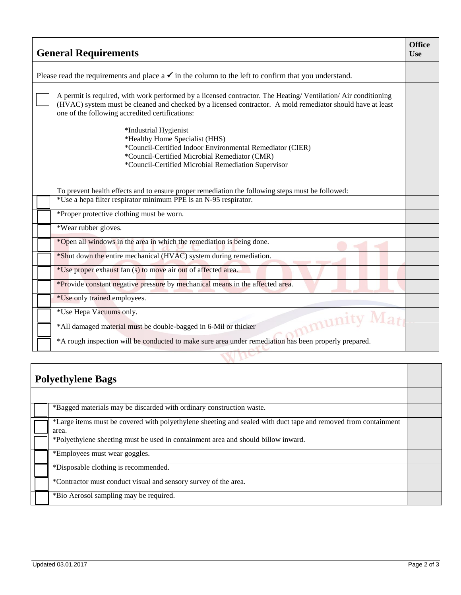| <b>General Requirements</b>                                                                                     |                                                                                                                                                                                                                                                                               |  |
|-----------------------------------------------------------------------------------------------------------------|-------------------------------------------------------------------------------------------------------------------------------------------------------------------------------------------------------------------------------------------------------------------------------|--|
| Please read the requirements and place $a \checkmark$ in the column to the left to confirm that you understand. |                                                                                                                                                                                                                                                                               |  |
|                                                                                                                 | A permit is required, with work performed by a licensed contractor. The Heating/Ventilation/Air conditioning<br>(HVAC) system must be cleaned and checked by a licensed contractor. A mold remediator should have at least<br>one of the following accredited certifications: |  |
|                                                                                                                 | *Industrial Hygienist<br>*Healthy Home Specialist (HHS)<br>*Council-Certified Indoor Environmental Remediator (CIER)<br>*Council-Certified Microbial Remediator (CMR)<br>*Council-Certified Microbial Remediation Supervisor                                                  |  |
|                                                                                                                 | To prevent health effects and to ensure proper remediation the following steps must be followed:                                                                                                                                                                              |  |
|                                                                                                                 | *Use a hepa filter respirator minimum PPE is an N-95 respirator.                                                                                                                                                                                                              |  |
|                                                                                                                 | *Proper protective clothing must be worn.                                                                                                                                                                                                                                     |  |
|                                                                                                                 | *Wear rubber gloves.                                                                                                                                                                                                                                                          |  |
|                                                                                                                 | *Open all windows in the area in which the remediation is being done.                                                                                                                                                                                                         |  |
|                                                                                                                 | *Shut down the entire mechanical (HVAC) system during remediation.                                                                                                                                                                                                            |  |
|                                                                                                                 | *Use proper exhaust fan (s) to move air out of affected area.                                                                                                                                                                                                                 |  |
|                                                                                                                 | *Provide constant negative pressure by mechanical means in the affected area.                                                                                                                                                                                                 |  |
|                                                                                                                 | *Use only trained employees.                                                                                                                                                                                                                                                  |  |
|                                                                                                                 | *Use Hepa Vacuums only.                                                                                                                                                                                                                                                       |  |
|                                                                                                                 | *All damaged material must be double-bagged in 6-Mil or thicker                                                                                                                                                                                                               |  |
|                                                                                                                 | *A rough inspection will be conducted to make sure area under remediation has been properly prepared.                                                                                                                                                                         |  |
|                                                                                                                 |                                                                                                                                                                                                                                                                               |  |

| <b>Polyethylene Bags</b> |                                                                                                                         |  |
|--------------------------|-------------------------------------------------------------------------------------------------------------------------|--|
|                          |                                                                                                                         |  |
|                          | *Bagged materials may be discarded with ordinary construction waste.                                                    |  |
|                          | *Large items must be covered with polyethylene sheeting and sealed with duct tape and removed from containment<br>area. |  |
|                          | *Polyethylene sheeting must be used in containment area and should billow inward.                                       |  |
|                          | *Employees must wear goggles.                                                                                           |  |
|                          | *Disposable clothing is recommended.                                                                                    |  |
|                          | *Contractor must conduct visual and sensory survey of the area.                                                         |  |
|                          | *Bio Aerosol sampling may be required.                                                                                  |  |